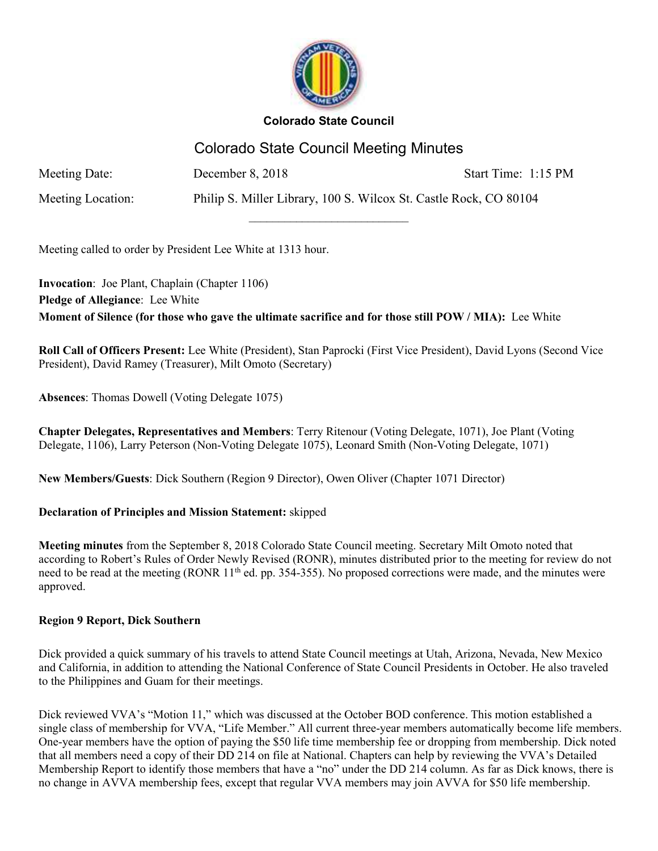

# Colorado State Council Meeting Minutes

 $\overline{\phantom{a}}$  , where  $\overline{\phantom{a}}$  , where  $\overline{\phantom{a}}$  , where  $\overline{\phantom{a}}$ 

Meeting Date: December 8, 2018 Start Time: 1:15 PM

Meeting Location: Philip S. Miller Library, 100 S. Wilcox St. Castle Rock, CO 80104

Meeting called to order by President Lee White at 1313 hour.

**Invocation**: Joe Plant, Chaplain (Chapter 1106) **Pledge of Allegiance**: Lee White **Moment of Silence (for those who gave the ultimate sacrifice and for those still POW / MIA):** Lee White

**Roll Call of Officers Present:** Lee White (President), Stan Paprocki (First Vice President), David Lyons (Second Vice President), David Ramey (Treasurer), Milt Omoto (Secretary)

**Absences**: Thomas Dowell (Voting Delegate 1075)

**Chapter Delegates, Representatives and Members**: Terry Ritenour (Voting Delegate, 1071), Joe Plant (Voting Delegate, 1106), Larry Peterson (Non-Voting Delegate 1075), Leonard Smith (Non-Voting Delegate, 1071)

**New Members/Guests**: Dick Southern (Region 9 Director), Owen Oliver (Chapter 1071 Director)

## **Declaration of Principles and Mission Statement:** skipped

**Meeting minutes** from the September 8, 2018 Colorado State Council meeting. Secretary Milt Omoto noted that according to Robert's Rules of Order Newly Revised (RONR), minutes distributed prior to the meeting for review do not need to be read at the meeting (RONR 11<sup>th</sup> ed. pp. 354-355). No proposed corrections were made, and the minutes were approved.

#### **Region 9 Report, Dick Southern**

Dick provided a quick summary of his travels to attend State Council meetings at Utah, Arizona, Nevada, New Mexico and California, in addition to attending the National Conference of State Council Presidents in October. He also traveled to the Philippines and Guam for their meetings.

Dick reviewed VVA's "Motion 11," which was discussed at the October BOD conference. This motion established a single class of membership for VVA, "Life Member." All current three-year members automatically become life members. One-year members have the option of paying the \$50 life time membership fee or dropping from membership. Dick noted that all members need a copy of their DD 214 on file at National. Chapters can help by reviewing the VVA's Detailed Membership Report to identify those members that have a "no" under the DD 214 column. As far as Dick knows, there is no change in AVVA membership fees, except that regular VVA members may join AVVA for \$50 life membership.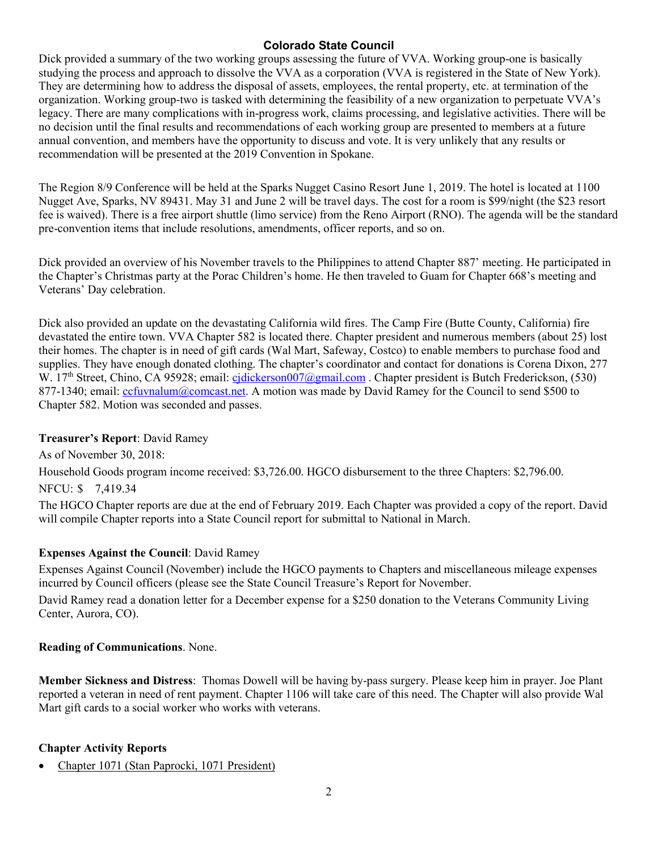Dick provided a summary of the two working groups assessing the future of VVA. Working group-one is basically studying the process and approach to dissolve the VVA as a corporation (VVA is registered in the State of New York). They are determining how to address the disposal of assets, employees, the rental property, etc. at termination of the organization. Working group-two is tasked with determining the feasibility of a new organization to perpetuate VVA's legacy. There are many complications with in-progress work, claims processing, and legislative activities. There will be no decision until the final results and recommendations of each working group are presented to members at a future annual convention, and members have the opportunity to discuss and vote. It is very unlikely that any results or recommendation will be presented at the 2019 Convention in Spokane.

The Region 8/9 Conference will be held at the Sparks Nugget Casino Resort June 1, 2019. The hotel is located at 1100 Nugget Ave, Sparks, NV 89431. May 31 and June 2 will be travel days. The cost for a room is \$99/night (the \$23 resort fee is waived). There is a free airport shuttle (limo service) from the Reno Airport (RNO). The agenda will be the standard pre-convention items that include resolutions, amendments, officer reports, and so on.

Dick provided an overview of his November travels to the Philippines to attend Chapter 887' meeting. He participated in the Chapter's Christmas party at the Porac Children's home. He then traveled to Guam for Chapter 668's meeting and Veterans' Day celebration.

Dick also provided an update on the devastating California wild fires. The Camp Fire (Butte County, California) fire devastated the entire town. VVA Chapter 582 is located there. Chapter president and numerous members (about 25) lost their homes. The chapter is in need of gift cards (Wal Mart, Safeway, Costco) to enable members to purchase food and supplies. They have enough donated clothing. The chapter's coordinator and contact for donations is Corena Dixon, 277 W. 17<sup>th</sup> Street, Chino, CA 95928; email: cjdickerson007@gmail.com . Chapter president is Butch Frederickson, (530) 877-1340; email: ccfuvnalum@comcast.net. A motion was made by David Ramey for the Council to send \$500 to Chapter 582. Motion was seconded and passes.

#### **Treasurer's Report**: David Ramey

As of November 30, 2018:

Household Goods program income received: \$3,726.00. HGCO disbursement to the three Chapters: \$2,796.00.

NFCU: \$ 7,419.34

The HGCO Chapter reports are due at the end of February 2019. Each Chapter was provided a copy of the report. David will compile Chapter reports into a State Council report for submittal to National in March.

## **Expenses Against the Council**: David Ramey

Expenses Against Council (November) include the HGCO payments to Chapters and miscellaneous mileage expenses incurred by Council officers (please see the State Council Treasure's Report for November.

David Ramey read a donation letter for a December expense for a \$250 donation to the Veterans Community Living Center, Aurora, CO).

#### **Reading of Communications**. None.

**Member Sickness and Distress**: Thomas Dowell will be having by-pass surgery. Please keep him in prayer. Joe Plant reported a veteran in need of rent payment. Chapter 1106 will take care of this need. The Chapter will also provide Wal Mart gift cards to a social worker who works with veterans.

#### **Chapter Activity Reports**

• Chapter 1071 (Stan Paprocki, 1071 President)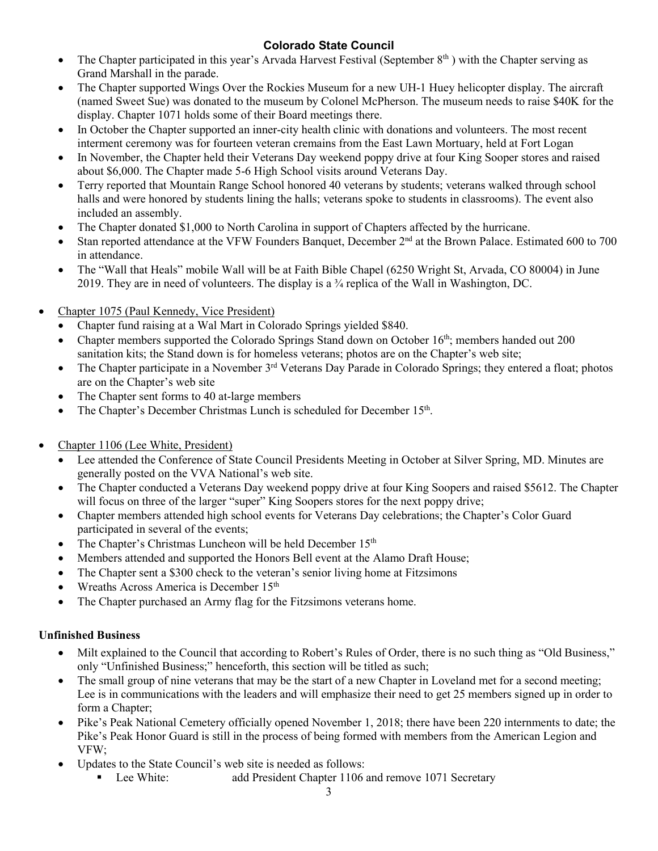- The Chapter participated in this year's Arvada Harvest Festival (September 8<sup>th</sup>) with the Chapter serving as Grand Marshall in the parade.
- The Chapter supported Wings Over the Rockies Museum for a new UH-1 Huey helicopter display. The aircraft (named Sweet Sue) was donated to the museum by Colonel McPherson. The museum needs to raise \$40K for the display. Chapter 1071 holds some of their Board meetings there.
- In October the Chapter supported an inner-city health clinic with donations and volunteers. The most recent interment ceremony was for fourteen veteran cremains from the East Lawn Mortuary, held at Fort Logan
- In November, the Chapter held their Veterans Day weekend poppy drive at four King Sooper stores and raised about \$6,000. The Chapter made 5-6 High School visits around Veterans Day.
- Terry reported that Mountain Range School honored 40 veterans by students; veterans walked through school halls and were honored by students lining the halls; veterans spoke to students in classrooms). The event also included an assembly.
- The Chapter donated \$1,000 to North Carolina in support of Chapters affected by the hurricane.
- Stan reported attendance at the VFW Founders Banquet, December 2<sup>nd</sup> at the Brown Palace. Estimated 600 to 700 in attendance.
- The "Wall that Heals" mobile Wall will be at Faith Bible Chapel (6250 Wright St, Arvada, CO 80004) in June 2019. They are in need of volunteers. The display is a ¾ replica of the Wall in Washington, DC.
- Chapter 1075 (Paul Kennedy, Vice President)
	- Chapter fund raising at a Wal Mart in Colorado Springs yielded \$840.
	- Chapter members supported the Colorado Springs Stand down on October 16th; members handed out 200 sanitation kits; the Stand down is for homeless veterans; photos are on the Chapter's web site;
	- The Chapter participate in a November 3rd Veterans Day Parade in Colorado Springs; they entered a float; photos are on the Chapter's web site
	- The Chapter sent forms to 40 at-large members
	- The Chapter's December Christmas Lunch is scheduled for December 15<sup>th</sup>.
- Chapter 1106 (Lee White, President)
	- Lee attended the Conference of State Council Presidents Meeting in October at Silver Spring, MD. Minutes are generally posted on the VVA National's web site.
	- The Chapter conducted a Veterans Day weekend poppy drive at four King Soopers and raised \$5612. The Chapter will focus on three of the larger "super" King Soopers stores for the next poppy drive;
	- Chapter members attended high school events for Veterans Day celebrations; the Chapter's Color Guard participated in several of the events;
	- The Chapter's Christmas Luncheon will be held December 15<sup>th</sup>
	- Members attended and supported the Honors Bell event at the Alamo Draft House;
	- The Chapter sent a \$300 check to the veteran's senior living home at Fitzsimons
	- Wreaths Across America is December 15<sup>th</sup>
	- The Chapter purchased an Army flag for the Fitzsimons veterans home.

## **Unfinished Business**

- Milt explained to the Council that according to Robert's Rules of Order, there is no such thing as "Old Business," only "Unfinished Business;" henceforth, this section will be titled as such;
- The small group of nine veterans that may be the start of a new Chapter in Loveland met for a second meeting; Lee is in communications with the leaders and will emphasize their need to get 25 members signed up in order to form a Chapter;
- Pike's Peak National Cemetery officially opened November 1, 2018; there have been 220 internments to date; the Pike's Peak Honor Guard is still in the process of being formed with members from the American Legion and VFW;
- Updates to the State Council's web site is needed as follows:
	- Lee White: add President Chapter 1106 and remove 1071 Secretary